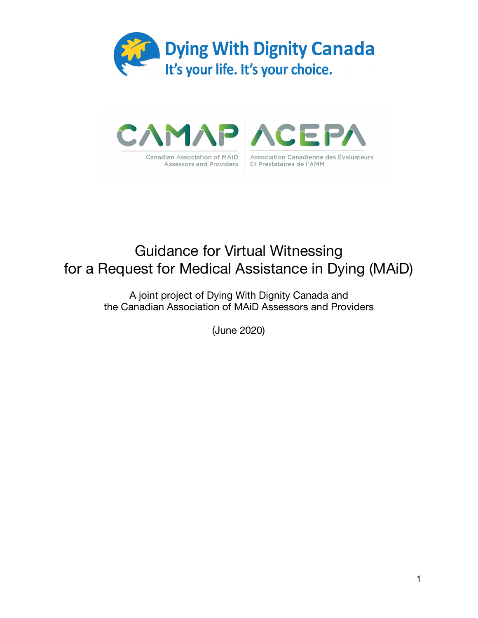



# Guidance for Virtual Witnessing for a Request for Medical Assistance in Dying (MAiD)

A joint project of Dying With Dignity Canada and the Canadian Association of MAiD Assessors and Providers

(June 2020)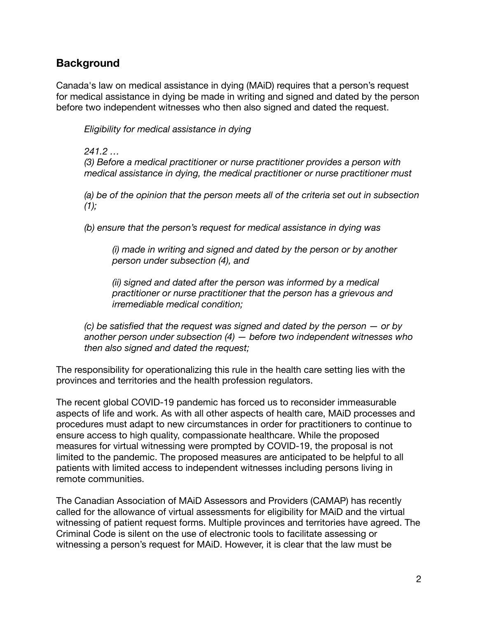## **Background**

Canada's law on medical assistance in dying (MAiD) requires that a person's request for medical assistance in dying be made in writing and signed and dated by the person before two independent witnesses who then also signed and dated the request.

*Eligibility for medical assistance in dying* 

#### *241.2 …*

*(3) Before a medical practitioner or nurse practitioner provides a person with medical assistance in dying, the medical practitioner or nurse practitioner must* 

*(a) be of the opinion that the person meets all of the criteria set out in subsection (1);* 

*(b) ensure that the person's request for medical assistance in dying was* 

*(i) made in writing and signed and dated by the person or by another person under subsection (4), and* 

*(ii) signed and dated after the person was informed by a medical practitioner or nurse practitioner that the person has a grievous and irremediable medical condition;* 

*(c) be satisfied that the request was signed and dated by the person — or by another person under subsection (4) — before two independent witnesses who then also signed and dated the request;* 

The responsibility for operationalizing this rule in the health care setting lies with the provinces and territories and the health profession regulators.

The recent global COVID-19 pandemic has forced us to reconsider immeasurable aspects of life and work. As with all other aspects of health care, MAiD processes and procedures must adapt to new circumstances in order for practitioners to continue to ensure access to high quality, compassionate healthcare. While the proposed measures for virtual witnessing were prompted by COVID-19, the proposal is not limited to the pandemic. The proposed measures are anticipated to be helpful to all patients with limited access to independent witnesses including persons living in remote communities.

The Canadian Association of MAiD Assessors and Providers (CAMAP) has recently called for the allowance of virtual assessments for eligibility for MAiD and the virtual witnessing of patient request forms. Multiple provinces and territories have agreed. The Criminal Code is silent on the use of electronic tools to facilitate assessing or witnessing a person's request for MAiD. However, it is clear that the law must be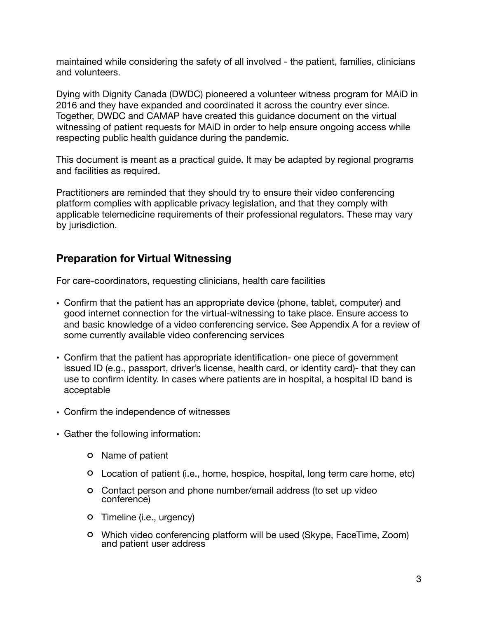maintained while considering the safety of all involved - the patient, families, clinicians and volunteers.

Dying with Dignity Canada (DWDC) pioneered a volunteer witness program for MAiD in 2016 and they have expanded and coordinated it across the country ever since. Together, DWDC and CAMAP have created this guidance document on the virtual witnessing of patient requests for MAiD in order to help ensure ongoing access while respecting public health guidance during the pandemic.

This document is meant as a practical guide. It may be adapted by regional programs and facilities as required.

Practitioners are reminded that they should try to ensure their video conferencing platform complies with applicable privacy legislation, and that they comply with applicable telemedicine requirements of their professional regulators. These may vary by jurisdiction.

## **Preparation for Virtual Witnessing**

For care-coordinators, requesting clinicians, health care facilities

- Confirm that the patient has an appropriate device (phone, tablet, computer) and good internet connection for the virtual-witnessing to take place. Ensure access to and basic knowledge of a video conferencing service. See Appendix A for a review of some currently available video conferencing services
- Confirm that the patient has appropriate identification- one piece of government issued ID (e.g., passport, driver's license, health card, or identity card)- that they can use to confirm identity. In cases where patients are in hospital, a hospital ID band is acceptable
- Confirm the independence of witnesses
- Gather the following information:
	- Name of patient
	- Location of patient (i.e., home, hospice, hospital, long term care home, etc)
	- Contact person and phone number/email address (to set up video conference)
	- Timeline (i.e., urgency)
	- Which video conferencing platform will be used (Skype, FaceTime, Zoom) and patient user address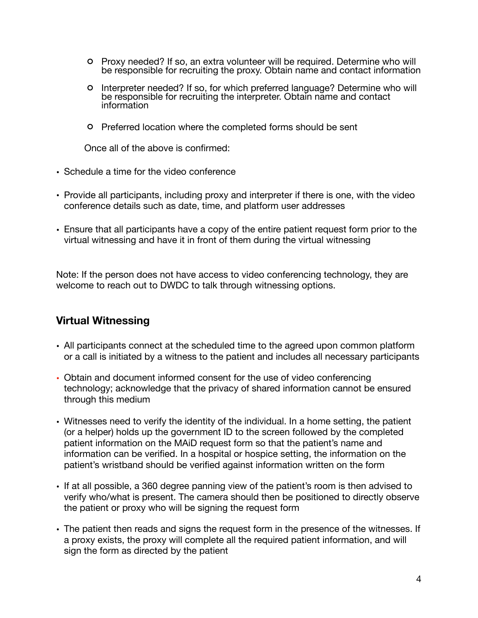- Proxy needed? If so, an extra volunteer will be required. Determine who will be responsible for recruiting the proxy. Obtain name and contact information
- Interpreter needed? If so, for which preferred language? Determine who will be responsible for recruiting the interpreter. Obtain name and contact information
- Preferred location where the completed forms should be sent

Once all of the above is confirmed:

- Schedule a time for the video conference
- Provide all participants, including proxy and interpreter if there is one, with the video conference details such as date, time, and platform user addresses
- Ensure that all participants have a copy of the entire patient request form prior to the virtual witnessing and have it in front of them during the virtual witnessing

Note: If the person does not have access to video conferencing technology, they are welcome to reach out to DWDC to talk through witnessing options.

### **Virtual Witnessing**

- All participants connect at the scheduled time to the agreed upon common platform or a call is initiated by a witness to the patient and includes all necessary participants
- Obtain and document informed consent for the use of video conferencing technology; acknowledge that the privacy of shared information cannot be ensured through this medium
- Witnesses need to verify the identity of the individual. In a home setting, the patient (or a helper) holds up the government ID to the screen followed by the completed patient information on the MAiD request form so that the patient's name and information can be verified. In a hospital or hospice setting, the information on the patient's wristband should be verified against information written on the form
- If at all possible, a 360 degree panning view of the patient's room is then advised to verify who/what is present. The camera should then be positioned to directly observe the patient or proxy who will be signing the request form
- The patient then reads and signs the request form in the presence of the witnesses. If a proxy exists, the proxy will complete all the required patient information, and will sign the form as directed by the patient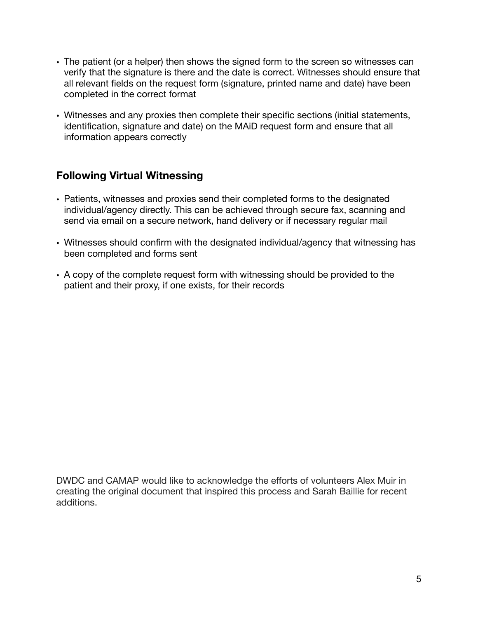- The patient (or a helper) then shows the signed form to the screen so witnesses can verify that the signature is there and the date is correct. Witnesses should ensure that all relevant fields on the request form (signature, printed name and date) have been completed in the correct format
- Witnesses and any proxies then complete their specific sections (initial statements, identification, signature and date) on the MAiD request form and ensure that all information appears correctly

## **Following Virtual Witnessing**

- Patients, witnesses and proxies send their completed forms to the designated individual/agency directly. This can be achieved through secure fax, scanning and send via email on a secure network, hand delivery or if necessary regular mail
- Witnesses should confirm with the designated individual/agency that witnessing has been completed and forms sent
- A copy of the complete request form with witnessing should be provided to the patient and their proxy, if one exists, for their records

DWDC and CAMAP would like to acknowledge the efforts of volunteers Alex Muir in creating the original document that inspired this process and Sarah Baillie for recent additions.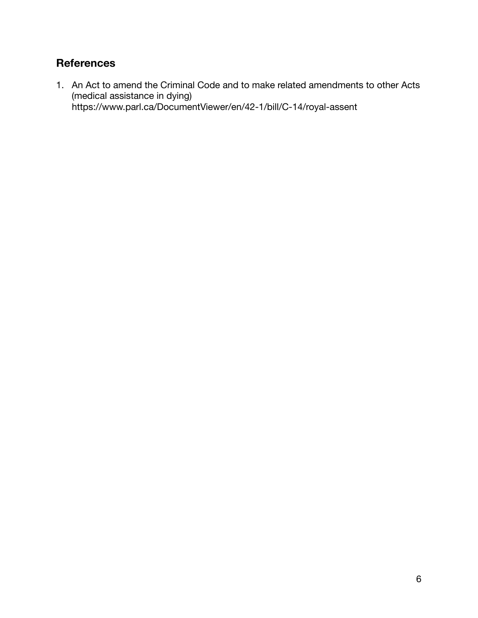# **References**

1. An Act to amend the Criminal Code and to make related amendments to other Acts (medical assistance in dying) https://www.parl.ca/DocumentViewer/en/42-1/bill/C-14/royal-assent